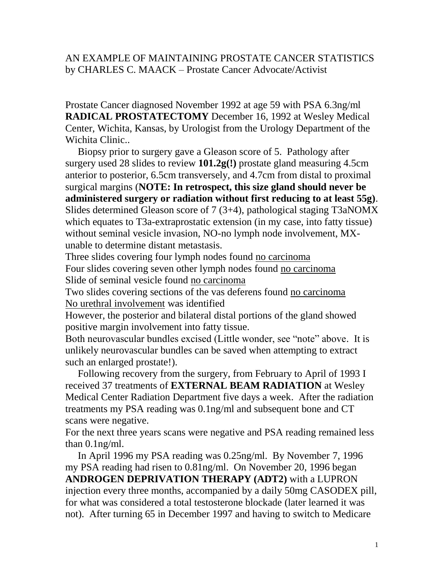#### AN EXAMPLE OF MAINTAINING PROSTATE CANCER STATISTICS by CHARLES C. MAACK – Prostate Cancer Advocate/Activist

Prostate Cancer diagnosed November 1992 at age 59 with PSA 6.3ng/ml **RADICAL PROSTATECTOMY** December 16, 1992 at Wesley Medical Center, Wichita, Kansas, by Urologist from the Urology Department of the Wichita Clinic..

 Biopsy prior to surgery gave a Gleason score of 5. Pathology after surgery used 28 slides to review **101.2g(!)** prostate gland measuring 4.5cm anterior to posterior, 6.5cm transversely, and 4.7cm from distal to proximal surgical margins (**NOTE: In retrospect, this size gland should never be administered surgery or radiation without first reducing to at least 55g)**. Slides determined Gleason score of 7 (3+4), pathological staging T3aNOMX which equates to T3a-extraprostatic extension (in my case, into fatty tissue) without seminal vesicle invasion, NO-no lymph node involvement, MXunable to determine distant metastasis.

Three slides covering four lymph nodes found no carcinoma

Four slides covering seven other lymph nodes found no carcinoma Slide of seminal vesicle found no carcinoma

Two slides covering sections of the vas deferens found no carcinoma No urethral involvement was identified

However, the posterior and bilateral distal portions of the gland showed positive margin involvement into fatty tissue.

Both neurovascular bundles excised (Little wonder, see "note" above. It is unlikely neurovascular bundles can be saved when attempting to extract such an enlarged prostate!).

 Following recovery from the surgery, from February to April of 1993 I received 37 treatments of **EXTERNAL BEAM RADIATION** at Wesley Medical Center Radiation Department five days a week. After the radiation treatments my PSA reading was 0.1ng/ml and subsequent bone and CT scans were negative.

For the next three years scans were negative and PSA reading remained less than 0.1ng/ml.

 In April 1996 my PSA reading was 0.25ng/ml. By November 7, 1996 my PSA reading had risen to 0.81ng/ml. On November 20, 1996 began **ANDROGEN DEPRIVATION THERAPY (ADT2)** with a LUPRON injection every three months, accompanied by a daily 50mg CASODEX pill, for what was considered a total testosterone blockade (later learned it was not). After turning 65 in December 1997 and having to switch to Medicare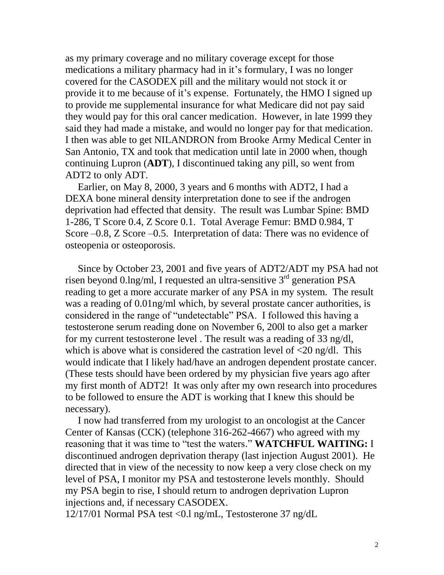as my primary coverage and no military coverage except for those medications a military pharmacy had in it's formulary, I was no longer covered for the CASODEX pill and the military would not stock it or provide it to me because of it's expense. Fortunately, the HMO I signed up to provide me supplemental insurance for what Medicare did not pay said they would pay for this oral cancer medication. However, in late 1999 they said they had made a mistake, and would no longer pay for that medication. I then was able to get NILANDRON from Brooke Army Medical Center in San Antonio, TX and took that medication until late in 2000 when, though continuing Lupron (**ADT**), I discontinued taking any pill, so went from ADT2 to only ADT.

 Earlier, on May 8, 2000, 3 years and 6 months with ADT2, I had a DEXA bone mineral density interpretation done to see if the androgen deprivation had effected that density. The result was Lumbar Spine: BMD 1-286, T Score 0.4, Z Score 0.1. Total Average Femur: BMD 0.984, T Score –0.8, Z Score –0.5. Interpretation of data: There was no evidence of osteopenia or osteoporosis.

 Since by October 23, 2001 and five years of ADT2/ADT my PSA had not risen beyond 0.lng/ml, I requested an ultra-sensitive  $3<sup>rd</sup>$  generation PSA reading to get a more accurate marker of any PSA in my system. The result was a reading of 0.01ng/ml which, by several prostate cancer authorities, is considered in the range of "undetectable" PSA. I followed this having a testosterone serum reading done on November 6, 200l to also get a marker for my current testosterone level . The result was a reading of 33 ng/dl, which is above what is considered the castration level of  $\langle 20 \rangle$  ng/dl. This would indicate that I likely had/have an androgen dependent prostate cancer. (These tests should have been ordered by my physician five years ago after my first month of ADT2! It was only after my own research into procedures to be followed to ensure the ADT is working that I knew this should be necessary).

 I now had transferred from my urologist to an oncologist at the Cancer Center of Kansas (CCK) (telephone 316-262-4667) who agreed with my reasoning that it was time to "test the waters." **WATCHFUL WAITING:** I discontinued androgen deprivation therapy (last injection August 2001). He directed that in view of the necessity to now keep a very close check on my level of PSA, I monitor my PSA and testosterone levels monthly. Should my PSA begin to rise, I should return to androgen deprivation Lupron injections and, if necessary CASODEX.

12/17/01 Normal PSA test <0.l ng/mL, Testosterone 37 ng/dL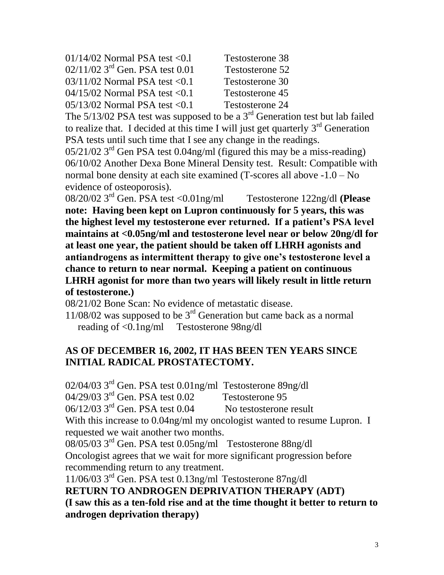| $01/14/02$ Normal PSA test < 0.1              | Testosterone 38 |
|-----------------------------------------------|-----------------|
| $02/11/02$ 3 <sup>rd</sup> Gen. PSA test 0.01 | Testosterone 52 |
| $03/11/02$ Normal PSA test < 0.1              | Testosterone 30 |
| $04/15/02$ Normal PSA test < 0.1              | Testosterone 45 |
| $05/13/02$ Normal PSA test < 0.1              | Testosterone 24 |

The  $5/13/02$  PSA test was supposed to be a  $3<sup>rd</sup>$  Generation test but lab failed to realize that. I decided at this time I will just get quarterly  $3<sup>rd</sup>$  Generation PSA tests until such time that I see any change in the readings.

05/21/02 3rd Gen PSA test 0.04ng/ml (figured this may be a miss-reading) 06/10/02 Another Dexa Bone Mineral Density test. Result: Compatible with normal bone density at each site examined (T-scores all above -1.0 – No evidence of osteoporosis).

08/20/02 3rd Gen. PSA test <0.01ng/ml Testosterone 122ng/dl **(Please note: Having been kept on Lupron continuously for 5 years, this was the highest level my testosterone ever returned. If a patient's PSA level maintains at <0.05ng/ml and testosterone level near or below 20ng/dl for at least one year, the patient should be taken off LHRH agonists and antiandrogens as intermittent therapy to give one's testosterone level a chance to return to near normal. Keeping a patient on continuous LHRH agonist for more than two years will likely result in little return of testosterone.)** 

08/21/02 Bone Scan: No evidence of metastatic disease.

 $11/08/02$  was supposed to be  $3<sup>rd</sup>$  Generation but came back as a normal reading of <0.1ng/ml Testosterone 98ng/dl

#### **AS OF DECEMBER 16, 2002, IT HAS BEEN TEN YEARS SINCE INITIAL RADICAL PROSTATECTOMY.**

02/04/03 3rd Gen. PSA test 0.01ng/ml Testosterone 89ng/dl 04/29/03 3<sup>rd</sup> Gen. PSA test 0.02 Testosterone 95 06/12/03 3rd Gen. PSA test 0.04 No testosterone result With this increase to 0.04ng/ml my oncologist wanted to resume Lupron. I requested we wait another two months. 08/05/03 3rd Gen. PSA test 0.05ng/ml Testosterone 88ng/dl Oncologist agrees that we wait for more significant progression before recommending return to any treatment. 11/06/03 3rd Gen. PSA test 0.13ng/ml Testosterone 87ng/dl **RETURN TO ANDROGEN DEPRIVATION THERAPY (ADT)**

**(I saw this as a ten-fold rise and at the time thought it better to return to androgen deprivation therapy)**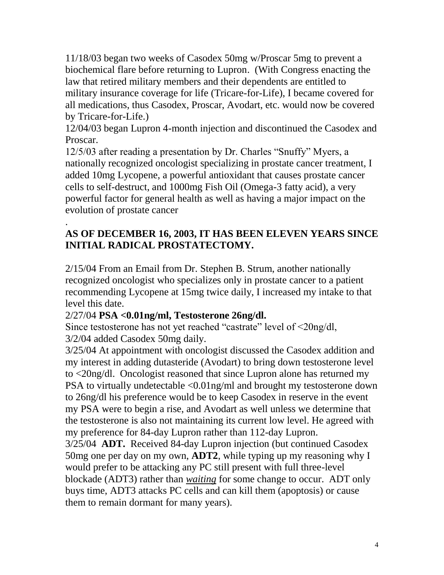11/18/03 began two weeks of Casodex 50mg w/Proscar 5mg to prevent a biochemical flare before returning to Lupron. (With Congress enacting the law that retired military members and their dependents are entitled to military insurance coverage for life (Tricare-for-Life), I became covered for all medications, thus Casodex, Proscar, Avodart, etc. would now be covered by Tricare-for-Life.)

12/04/03 began Lupron 4-month injection and discontinued the Casodex and Proscar.

12/5/03 after reading a presentation by Dr. Charles "Snuffy" Myers, a nationally recognized oncologist specializing in prostate cancer treatment, I added 10mg Lycopene, a powerful antioxidant that causes prostate cancer cells to self-destruct, and 1000mg Fish Oil (Omega-3 fatty acid), a very powerful factor for general health as well as having a major impact on the evolution of prostate cancer

#### . **AS OF DECEMBER 16, 2003, IT HAS BEEN ELEVEN YEARS SINCE INITIAL RADICAL PROSTATECTOMY.**

2/15/04 From an Email from Dr. Stephen B. Strum, another nationally recognized oncologist who specializes only in prostate cancer to a patient recommending Lycopene at 15mg twice daily, I increased my intake to that level this date.

#### 2/27/04 **PSA <0.01ng/ml, Testosterone 26ng/dl.**

Since testosterone has not yet reached "castrate" level of <20ng/dl, 3/2/04 added Casodex 50mg daily.

3/25/04 At appointment with oncologist discussed the Casodex addition and my interest in adding dutasteride (Avodart) to bring down testosterone level to <20ng/dl. Oncologist reasoned that since Lupron alone has returned my PSA to virtually undetectable <0.01ng/ml and brought my testosterone down to 26ng/dl his preference would be to keep Casodex in reserve in the event my PSA were to begin a rise, and Avodart as well unless we determine that the testosterone is also not maintaining its current low level. He agreed with my preference for 84-day Lupron rather than 112-day Lupron.

3/25/04 **ADT.** Received 84-day Lupron injection (but continued Casodex 50mg one per day on my own, **ADT2**, while typing up my reasoning why I would prefer to be attacking any PC still present with full three-level blockade (ADT3) rather than *waiting* for some change to occur. ADT only buys time, ADT3 attacks PC cells and can kill them (apoptosis) or cause them to remain dormant for many years).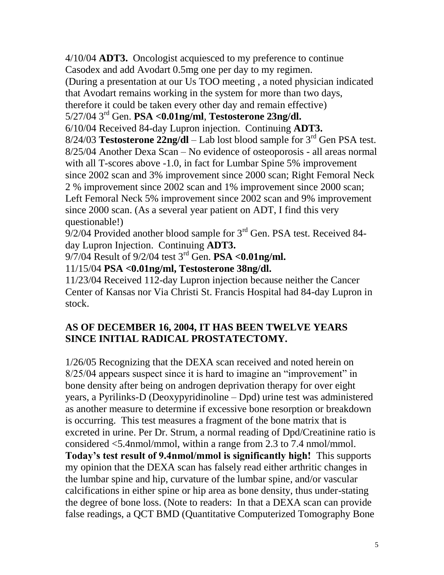4/10/04 **ADT3.** Oncologist acquiesced to my preference to continue Casodex and add Avodart 0.5mg one per day to my regimen. (During a presentation at our Us TOO meeting , a noted physician indicated that Avodart remains working in the system for more than two days, therefore it could be taken every other day and remain effective) 5/27/04 3rd Gen. **PSA <0.01ng/ml**, **Testosterone 23ng/dl.** 6/10/04 Received 84-day Lupron injection. Continuing **ADT3.** 8/24/03 **Testosterone 22ng/dl** – Lab lost blood sample for 3rd Gen PSA test. 8/25/04 Another Dexa Scan – No evidence of osteoporosis - all areas normal with all T-scores above -1.0, in fact for Lumbar Spine 5% improvement since 2002 scan and 3% improvement since 2000 scan; Right Femoral Neck 2 % improvement since 2002 scan and 1% improvement since 2000 scan; Left Femoral Neck 5% improvement since 2002 scan and 9% improvement since 2000 scan. (As a several year patient on ADT, I find this very questionable!)

 $9/2/04$  Provided another blood sample for  $3<sup>rd</sup>$  Gen. PSA test. Received 84day Lupron Injection. Continuing **ADT3.**

9/7/04 Result of 9/2/04 test 3rd Gen. **PSA <0.01ng/ml.**

11/15/04 **PSA <0.01ng/ml, Testosterone 38ng/dl.**

11/23/04 Received 112-day Lupron injection because neither the Cancer Center of Kansas nor Via Christi St. Francis Hospital had 84-day Lupron in stock.

## **AS OF DECEMBER 16, 2004, IT HAS BEEN TWELVE YEARS SINCE INITIAL RADICAL PROSTATECTOMY.**

1/26/05 Recognizing that the DEXA scan received and noted herein on 8/25/04 appears suspect since it is hard to imagine an "improvement" in bone density after being on androgen deprivation therapy for over eight years, a Pyrilinks-D (Deoxypyridinoline – Dpd) urine test was administered as another measure to determine if excessive bone resorption or breakdown is occurring. This test measures a fragment of the bone matrix that is excreted in urine. Per Dr. Strum, a normal reading of Dpd/Creatinine ratio is considered <5.4nmol/mmol, within a range from 2.3 to 7.4 nmol/mmol. **Today's test result of 9.4nmol/mmol is significantly high!** This supports my opinion that the DEXA scan has falsely read either arthritic changes in the lumbar spine and hip, curvature of the lumbar spine, and/or vascular calcifications in either spine or hip area as bone density, thus under-stating the degree of bone loss. (Note to readers: In that a DEXA scan can provide false readings, a QCT BMD (Quantitative Computerized Tomography Bone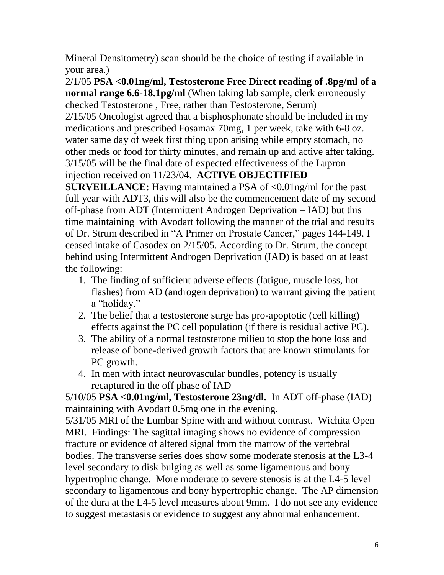Mineral Densitometry) scan should be the choice of testing if available in your area.)

2/1/05 **PSA <0.01ng/ml, Testosterone Free Direct reading of .8pg/ml of a normal range 6.6-18.1pg/ml** (When taking lab sample, clerk erroneously checked Testosterone , Free, rather than Testosterone, Serum) 2/15/05 Oncologist agreed that a bisphosphonate should be included in my medications and prescribed Fosamax 70mg, 1 per week, take with 6-8 oz. water same day of week first thing upon arising while empty stomach, no other meds or food for thirty minutes, and remain up and active after taking. 3/15/05 will be the final date of expected effectiveness of the Lupron injection received on 11/23/04. **ACTIVE OBJECTIFIED** 

**SURVEILLANCE:** Having maintained a PSA of <0.01ng/ml for the past full year with ADT3, this will also be the commencement date of my second off-phase from ADT (Intermittent Androgen Deprivation – IAD) but this time maintaining with Avodart following the manner of the trial and results of Dr. Strum described in "A Primer on Prostate Cancer," pages 144-149. I ceased intake of Casodex on 2/15/05. According to Dr. Strum, the concept behind using Intermittent Androgen Deprivation (IAD) is based on at least the following:

- 1. The finding of sufficient adverse effects (fatigue, muscle loss, hot flashes) from AD (androgen deprivation) to warrant giving the patient a "holiday."
- 2. The belief that a testosterone surge has pro-apoptotic (cell killing) effects against the PC cell population (if there is residual active PC).
- 3. The ability of a normal testosterone milieu to stop the bone loss and release of bone-derived growth factors that are known stimulants for PC growth.
- 4. In men with intact neurovascular bundles, potency is usually recaptured in the off phase of IAD

5/10/05 **PSA <0.01ng/ml, Testosterone 23ng/dl.** In ADT off-phase (IAD) maintaining with Avodart 0.5mg one in the evening.

5/31/05 MRI of the Lumbar Spine with and without contrast. Wichita Open MRI. Findings: The sagittal imaging shows no evidence of compression fracture or evidence of altered signal from the marrow of the vertebral bodies. The transverse series does show some moderate stenosis at the L3-4 level secondary to disk bulging as well as some ligamentous and bony hypertrophic change. More moderate to severe stenosis is at the L4-5 level secondary to ligamentous and bony hypertrophic change. The AP dimension of the dura at the L4-5 level measures about 9mm. I do not see any evidence to suggest metastasis or evidence to suggest any abnormal enhancement.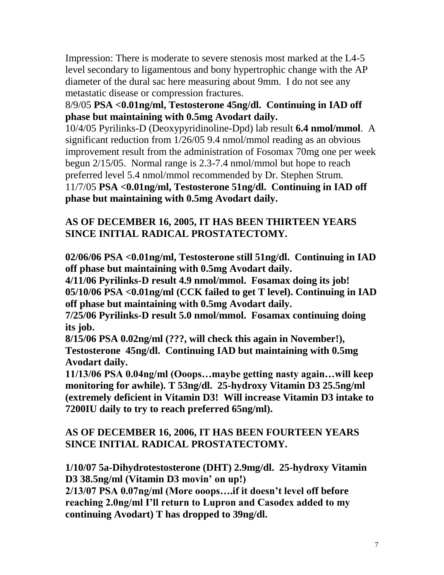Impression: There is moderate to severe stenosis most marked at the L4-5 level secondary to ligamentous and bony hypertrophic change with the AP diameter of the dural sac here measuring about 9mm. I do not see any metastatic disease or compression fractures.

### 8/9/05 **PSA <0.01ng/ml, Testosterone 45ng/dl. Continuing in IAD off phase but maintaining with 0.5mg Avodart daily.**

10/4/05 Pyrilinks-D (Deoxypyridinoline-Dpd) lab result **6.4 nmol/mmol**. A significant reduction from 1/26/05 9.4 nmol/mmol reading as an obvious improvement result from the administration of Fosomax 70mg one per week begun 2/15/05. Normal range is 2.3-7.4 nmol/mmol but hope to reach preferred level 5.4 nmol/mmol recommended by Dr. Stephen Strum. 11/7/05 **PSA <0.01ng/ml, Testosterone 51ng/dl. Continuing in IAD off phase but maintaining with 0.5mg Avodart daily.**

### **AS OF DECEMBER 16, 2005, IT HAS BEEN THIRTEEN YEARS SINCE INITIAL RADICAL PROSTATECTOMY.**

**02/06/06 PSA <0.01ng/ml, Testosterone still 51ng/dl. Continuing in IAD off phase but maintaining with 0.5mg Avodart daily.**

**4/11/06 Pyrilinks-D result 4.9 nmol/mmol. Fosamax doing its job! 05/10/06 PSA <0.01ng/ml (CCK failed to get T level). Continuing in IAD off phase but maintaining with 0.5mg Avodart daily.**

**7/25/06 Pyrilinks-D result 5.0 nmol/mmol. Fosamax continuing doing its job.**

**8/15/06 PSA 0.02ng/ml (???, will check this again in November!), Testosterone 45ng/dl. Continuing IAD but maintaining with 0.5mg Avodart daily.**

**11/13/06 PSA 0.04ng/ml (Ooops…maybe getting nasty again…will keep monitoring for awhile). T 53ng/dl. 25-hydroxy Vitamin D3 25.5ng/ml (extremely deficient in Vitamin D3! Will increase Vitamin D3 intake to 7200IU daily to try to reach preferred 65ng/ml).**

## **AS OF DECEMBER 16, 2006, IT HAS BEEN FOURTEEN YEARS SINCE INITIAL RADICAL PROSTATECTOMY.**

**1/10/07 5a-Dihydrotestosterone (DHT) 2.9mg/dl. 25-hydroxy Vitamin D3 38.5ng/ml (Vitamin D3 movin' on up!)**

**2/13/07 PSA 0.07ng/ml (More ooops….if it doesn't level off before reaching 2.0ng/ml I'll return to Lupron and Casodex added to my continuing Avodart) T has dropped to 39ng/dl.**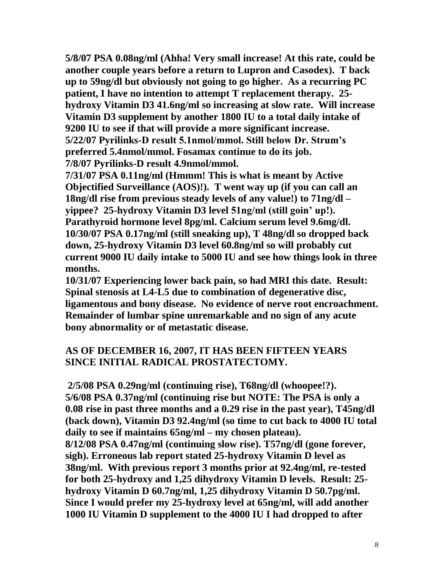**5/8/07 PSA 0.08ng/ml (Ahha! Very small increase! At this rate, could be another couple years before a return to Lupron and Casodex). T back up to 59ng/dl but obviously not going to go higher. As a recurring PC patient, I have no intention to attempt T replacement therapy. 25 hydroxy Vitamin D3 41.6ng/ml so increasing at slow rate. Will increase Vitamin D3 supplement by another 1800 IU to a total daily intake of 9200 IU to see if that will provide a more significant increase. 5/22/07 Pyrilinks-D result 5.1nmol/mmol. Still below Dr. Strum's preferred 5.4nmol/mmol. Fosamax continue to do its job. 7/8/07 Pyrilinks-D result 4.9nmol/mmol.**

**7/31/07 PSA 0.11ng/ml (Hmmm! This is what is meant by Active Objectified Surveillance (AOS)!). T went way up (if you can call an 18ng/dl rise from previous steady levels of any value!) to 71ng/dl – yippee? 25-hydroxy Vitamin D3 level 51ng/ml (still goin' up!). Parathyroid hormone level 8pg/ml. Calcium serum level 9.6mg/dl. 10/30/07 PSA 0.17ng/ml (still sneaking up), T 48ng/dl so dropped back down, 25-hydroxy Vitamin D3 level 60.8ng/ml so will probably cut current 9000 IU daily intake to 5000 IU and see how things look in three months.**

**10/31/07 Experiencing lower back pain, so had MRI this date. Result: Spinal stenosis at L4-L5 due to combination of degenerative disc, ligamentous and bony disease. No evidence of nerve root encroachment. Remainder of lumbar spine unremarkable and no sign of any acute bony abnormality or of metastatic disease.**

#### **AS OF DECEMBER 16, 2007, IT HAS BEEN FIFTEEN YEARS SINCE INITIAL RADICAL PROSTATECTOMY.**

**2/5/08 PSA 0.29ng/ml (continuing rise), T68ng/dl (whoopee!?). 5/6/08 PSA 0.37ng/ml (continuing rise but NOTE: The PSA is only a 0.08 rise in past three months and a 0.29 rise in the past year), T45ng/dl (back down), Vitamin D3 92.4ng/ml (so time to cut back to 4000 IU total daily to see if maintains 65ng/ml – my chosen plateau). 8/12/08 PSA 0.47ng/ml (continuing slow rise). T57ng/dl (gone forever, sigh). Erroneous lab report stated 25-hydroxy Vitamin D level as 38ng/ml. With previous report 3 months prior at 92.4ng/ml, re-tested for both 25-hydroxy and 1,25 dihydroxy Vitamin D levels. Result: 25 hydroxy Vitamin D 60.7ng/ml, 1,25 dihydroxy Vitamin D 50.7pg/ml. Since I would prefer my 25-hydroxy level at 65ng/ml, will add another 1000 IU Vitamin D supplement to the 4000 IU I had dropped to after**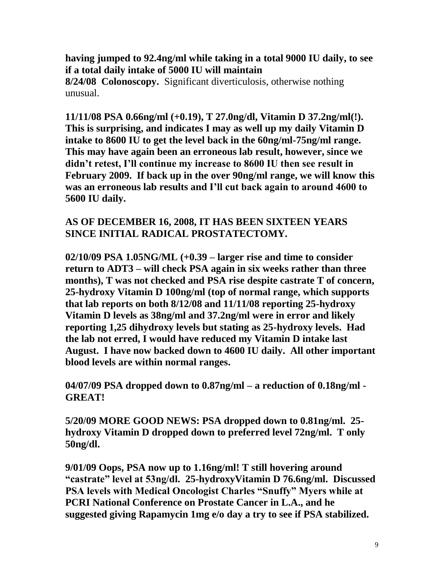**having jumped to 92.4ng/ml while taking in a total 9000 IU daily, to see if a total daily intake of 5000 IU will maintain**

**8/24/08 Colonoscopy.** Significant diverticulosis, otherwise nothing unusual.

**11/11/08 PSA 0.66ng/ml (+0.19), T 27.0ng/dl, Vitamin D 37.2ng/ml(!). This is surprising, and indicates I may as well up my daily Vitamin D intake to 8600 IU to get the level back in the 60ng/ml-75ng/ml range. This may have again been an erroneous lab result, however, since we didn't retest, I'll continue my increase to 8600 IU then see result in February 2009. If back up in the over 90ng/ml range, we will know this was an erroneous lab results and I'll cut back again to around 4600 to 5600 IU daily.**

#### **AS OF DECEMBER 16, 2008, IT HAS BEEN SIXTEEN YEARS SINCE INITIAL RADICAL PROSTATECTOMY.**

**02/10/09 PSA 1.05NG/ML (+0.39 – larger rise and time to consider return to ADT3 – will check PSA again in six weeks rather than three months), T was not checked and PSA rise despite castrate T of concern, 25-hydroxy Vitamin D 100ng/ml (top of normal range, which supports that lab reports on both 8/12/08 and 11/11/08 reporting 25-hydroxy Vitamin D levels as 38ng/ml and 37.2ng/ml were in error and likely reporting 1,25 dihydroxy levels but stating as 25-hydroxy levels. Had the lab not erred, I would have reduced my Vitamin D intake last August. I have now backed down to 4600 IU daily. All other important blood levels are within normal ranges.**

**04/07/09 PSA dropped down to 0.87ng/ml – a reduction of 0.18ng/ml - GREAT!**

**5/20/09 MORE GOOD NEWS: PSA dropped down to 0.81ng/ml. 25 hydroxy Vitamin D dropped down to preferred level 72ng/ml. T only 50ng/dl.**

**9/01/09 Oops, PSA now up to 1.16ng/ml! T still hovering around "castrate" level at 53ng/dl. 25-hydroxyVitamin D 76.6ng/ml. Discussed PSA levels with Medical Oncologist Charles "Snuffy" Myers while at PCRI National Conference on Prostate Cancer in L.A., and he suggested giving Rapamycin 1mg e/o day a try to see if PSA stabilized.**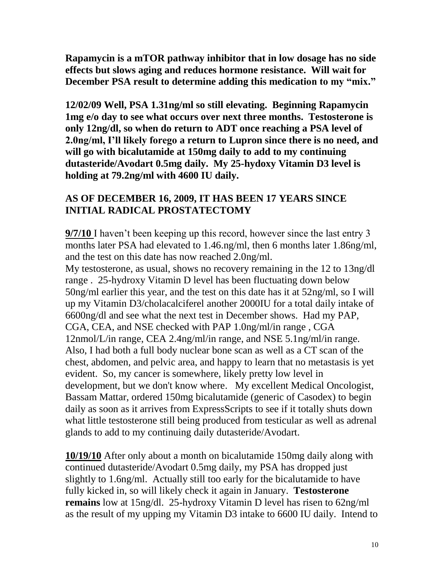**Rapamycin is a mTOR pathway inhibitor that in low dosage has no side effects but slows aging and reduces hormone resistance. Will wait for December PSA result to determine adding this medication to my "mix."**

**12/02/09 Well, PSA 1.31ng/ml so still elevating. Beginning Rapamycin 1mg e/o day to see what occurs over next three months. Testosterone is only 12ng/dl, so when do return to ADT once reaching a PSA level of 2.0ng/ml, I'll likely forego a return to Lupron since there is no need, and will go with bicalutamide at 150mg daily to add to my continuing dutasteride/Avodart 0.5mg daily. My 25-hydoxy Vitamin D3 level is holding at 79.2ng/ml with 4600 IU daily.**

#### **AS OF DECEMBER 16, 2009, IT HAS BEEN 17 YEARS SINCE INITIAL RADICAL PROSTATECTOMY**

**9/7/10** I haven't been keeping up this record, however since the last entry 3 months later PSA had elevated to 1.46.ng/ml, then 6 months later 1.86ng/ml, and the test on this date has now reached 2.0ng/ml.

My testosterone, as usual, shows no recovery remaining in the 12 to 13ng/dl range . 25-hydroxy Vitamin D level has been fluctuating down below 50ng/ml earlier this year, and the test on this date has it at 52ng/ml, so I will up my Vitamin D3/cholacalciferel another 2000IU for a total daily intake of 6600ng/dl and see what the next test in December shows. Had my PAP, CGA, CEA, and NSE checked with PAP 1.0ng/ml/in range , CGA 12nmol/L/in range, CEA 2.4ng/ml/in range, and NSE 5.1ng/ml/in range. Also, I had both a full body nuclear bone scan as well as a CT scan of the chest, abdomen, and pelvic area, and happy to learn that no metastasis is yet evident. So, my cancer is somewhere, likely pretty low level in development, but we don't know where. My excellent Medical Oncologist, Bassam Mattar, ordered 150mg bicalutamide (generic of Casodex) to begin daily as soon as it arrives from ExpressScripts to see if it totally shuts down what little testosterone still being produced from testicular as well as adrenal glands to add to my continuing daily dutasteride/Avodart.

**10/19/10** After only about a month on bicalutamide 150mg daily along with continued dutasteride/Avodart 0.5mg daily, my PSA has dropped just slightly to 1.6ng/ml. Actually still too early for the bicalutamide to have fully kicked in, so will likely check it again in January. **Testosterone remains** low at 15ng/dl. 25-hydroxy Vitamin D level has risen to 62ng/ml as the result of my upping my Vitamin D3 intake to 6600 IU daily. Intend to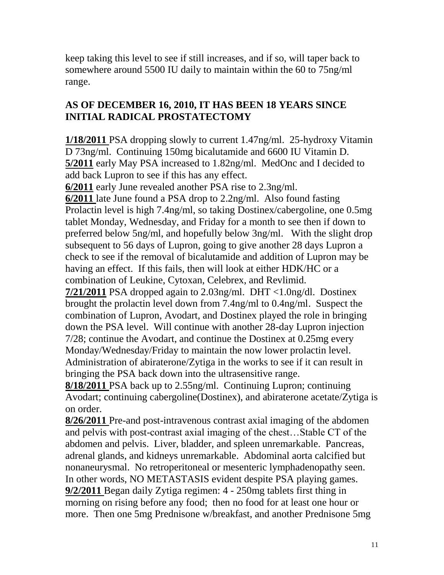keep taking this level to see if still increases, and if so, will taper back to somewhere around 5500 IU daily to maintain within the 60 to 75ng/ml range.

## **AS OF DECEMBER 16, 2010, IT HAS BEEN 18 YEARS SINCE INITIAL RADICAL PROSTATECTOMY**

**1/18/2011** PSA dropping slowly to current 1.47ng/ml. 25-hydroxy Vitamin D 73ng/ml. Continuing 150mg bicalutamide and 6600 IU Vitamin D. **5/2011** early May PSA increased to 1.82ng/ml. MedOnc and I decided to add back Lupron to see if this has any effect.

**6/2011** early June revealed another PSA rise to 2.3ng/ml.

**6/2011** late June found a PSA drop to 2.2ng/ml. Also found fasting Prolactin level is high 7.4ng/ml, so taking Dostinex/cabergoline, one 0.5mg tablet Monday, Wednesday, and Friday for a month to see then if down to preferred below 5ng/ml, and hopefully below 3ng/ml. With the slight drop subsequent to 56 days of Lupron, going to give another 28 days Lupron a check to see if the removal of bicalutamide and addition of Lupron may be having an effect. If this fails, then will look at either HDK/HC or a combination of Leukine, Cytoxan, Celebrex, and Revlimid.

**7/21/2011** PSA dropped again to 2.03ng/ml. DHT <1.0ng/dl. Dostinex brought the prolactin level down from 7.4ng/ml to 0.4ng/ml. Suspect the combination of Lupron, Avodart, and Dostinex played the role in bringing down the PSA level. Will continue with another 28-day Lupron injection 7/28; continue the Avodart, and continue the Dostinex at 0.25mg every Monday/Wednesday/Friday to maintain the now lower prolactin level. Administration of abiraterone/Zytiga in the works to see if it can result in bringing the PSA back down into the ultrasensitive range.

**8/18/2011** PSA back up to 2.55ng/ml. Continuing Lupron; continuing Avodart; continuing cabergoline(Dostinex), and abiraterone acetate/Zytiga is on order.

**8/26/2011** Pre-and post-intravenous contrast axial imaging of the abdomen and pelvis with post-contrast axial imaging of the chest…Stable CT of the abdomen and pelvis. Liver, bladder, and spleen unremarkable. Pancreas, adrenal glands, and kidneys unremarkable. Abdominal aorta calcified but nonaneurysmal. No retroperitoneal or mesenteric lymphadenopathy seen. In other words, NO METASTASIS evident despite PSA playing games. **9/2/2011** Began daily Zytiga regimen: 4 - 250mg tablets first thing in morning on rising before any food; then no food for at least one hour or more. Then one 5mg Prednisone w/breakfast, and another Prednisone 5mg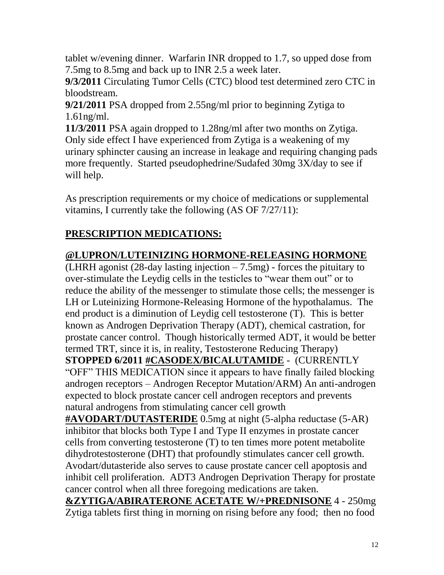tablet w/evening dinner. Warfarin INR dropped to 1.7, so upped dose from 7.5mg to 8.5mg and back up to INR 2.5 a week later.

**9/3/2011** Circulating Tumor Cells (CTC) blood test determined zero CTC in bloodstream.

**9/21/2011** PSA dropped from 2.55ng/ml prior to beginning Zytiga to 1.61ng/ml.

**11/3/2011** PSA again dropped to 1.28ng/ml after two months on Zytiga. Only side effect I have experienced from Zytiga is a weakening of my urinary sphincter causing an increase in leakage and requiring changing pads more frequently. Started pseudophedrine/Sudafed 30mg 3X/day to see if will help.

As prescription requirements or my choice of medications or supplemental vitamins, I currently take the following (AS OF 7/27/11):

# **PRESCRIPTION MEDICATIONS:**

## **@LUPRON/LUTEINIZING HORMONE-RELEASING HORMONE**

(LHRH agonist  $(28$ -day lasting injection  $-7.5$ mg) - forces the pituitary to over-stimulate the Leydig cells in the testicles to "wear them out" or to reduce the ability of the messenger to stimulate those cells; the messenger is LH or Luteinizing Hormone-Releasing Hormone of the hypothalamus. The end product is a diminution of Leydig cell testosterone (T). This is better known as Androgen Deprivation Therapy (ADT), chemical castration, for prostate cancer control. Though historically termed ADT, it would be better termed TRT, since it is, in reality, Testosterone Reducing Therapy) **STOPPED 6/2011 #CASODEX/BICALUTAMIDE** - (CURRENTLY "OFF" THIS MEDICATION since it appears to have finally failed blocking androgen receptors – Androgen Receptor Mutation/ARM) An anti-androgen expected to block prostate cancer cell androgen receptors and prevents natural androgens from stimulating cancer cell growth **#AVODART/DUTASTERIDE** 0.5mg at night (5-alpha reductase (5-AR) inhibitor that blocks both Type I and Type II enzymes in prostate cancer cells from converting testosterone (T) to ten times more potent metabolite dihydrotestosterone (DHT) that profoundly stimulates cancer cell growth. Avodart/dutasteride also serves to cause prostate cancer cell apoptosis and inhibit cell proliferation. ADT3 Androgen Deprivation Therapy for prostate cancer control when all three foregoing medications are taken.

**&ZYTIGA/ABIRATERONE ACETATE W/+PREDNISONE** 4 - 250mg Zytiga tablets first thing in morning on rising before any food; then no food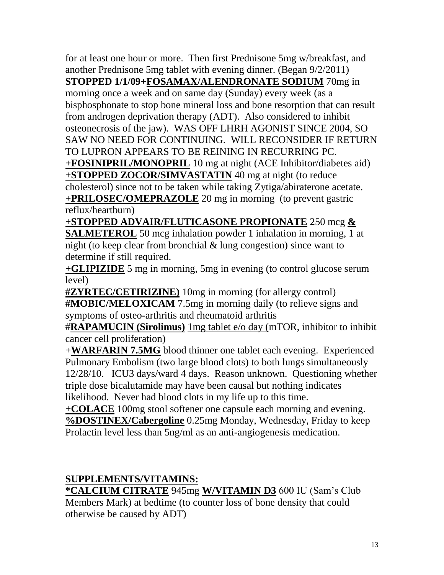for at least one hour or more. Then first Prednisone 5mg w/breakfast, and another Prednisone 5mg tablet with evening dinner. (Began 9/2/2011) **STOPPED 1/1/09+FOSAMAX/ALENDRONATE SODIUM** 70mg in morning once a week and on same day (Sunday) every week (as a bisphosphonate to stop bone mineral loss and bone resorption that can result from androgen deprivation therapy (ADT). Also considered to inhibit osteonecrosis of the jaw). WAS OFF LHRH AGONIST SINCE 2004, SO SAW NO NEED FOR CONTINUING. WILL RECONSIDER IF RETURN TO LUPRON APPEARS TO BE REINING IN RECURRING PC. **+FOSINIPRIL/MONOPRIL** 10 mg at night (ACE Inhibitor/diabetes aid) **+STOPPED ZOCOR/SIMVASTATIN** 40 mg at night (to reduce cholesterol) since not to be taken while taking Zytiga/abiraterone acetate. **+PRILOSEC/OMEPRAZOLE** 20 mg in morning (to prevent gastric reflux/heartburn)

**+STOPPED ADVAIR/FLUTICASONE PROPIONATE** 250 mcg **& SALMETEROL** 50 mcg inhalation powder 1 inhalation in morning, 1 at night (to keep clear from bronchial & lung congestion) since want to determine if still required.

**+GLIPIZIDE** 5 mg in morning, 5mg in evening (to control glucose serum level)

**#ZYRTEC/CETIRIZINE)** 10mg in morning (for allergy control) **#MOBIC/MELOXICAM** 7.5mg in morning daily (to relieve signs and symptoms of osteo-arthritis and rheumatoid arthritis

#**RAPAMUCIN (Sirolimus)** 1mg tablet e/o day (mTOR, inhibitor to inhibit cancer cell proliferation)

+**WARFARIN 7.5MG** blood thinner one tablet each evening. Experienced Pulmonary Embolism (two large blood clots) to both lungs simultaneously 12/28/10. ICU3 days/ward 4 days. Reason unknown. Questioning whether triple dose bicalutamide may have been causal but nothing indicates likelihood. Never had blood clots in my life up to this time.

**+COLACE** 100mg stool softener one capsule each morning and evening. **%DOSTINEX/Cabergoline** 0.25mg Monday, Wednesday, Friday to keep Prolactin level less than 5ng/ml as an anti-angiogenesis medication.

## **SUPPLEMENTS/VITAMINS:**

**\*CALCIUM CITRATE** 945mg **W/VITAMIN D3** 600 IU (Sam's Club Members Mark) at bedtime (to counter loss of bone density that could otherwise be caused by ADT)